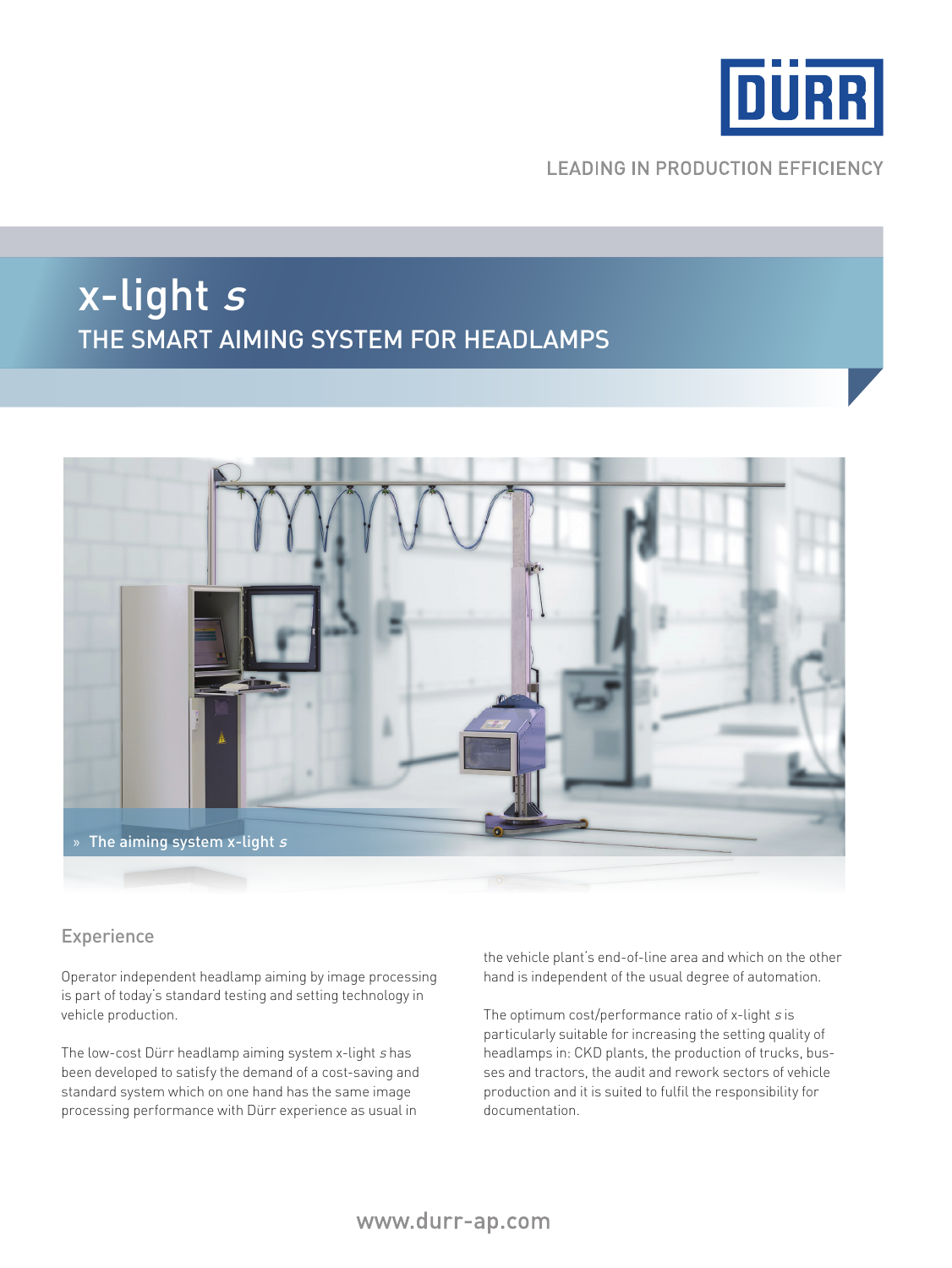

### **LEADING IN PRODUCTION EFFICIENCY**

# x-light <sup>s</sup> The smart aiming system for headlamps



#### Experience

Operator independent headlamp aiming by image processing is part of today's standard testing and setting technology in vehicle production.

The low-cost Dürr headlamp aiming system x-light s has been developed to satisfy the demand of a cost-saving and standard system which on one hand has the same image processing performance with Dürr experience as usual in

the vehicle plant's end-of-line area and which on the other hand is independent of the usual degree of automation.

The optimum cost/performance ratio of x-light s is particularly suitable for increasing the setting quality of headlamps in: CKD plants, the production of trucks, busses and tractors, the audit and rework sectors of vehicle production and it is suited to fulfil the responsibility for documentation.